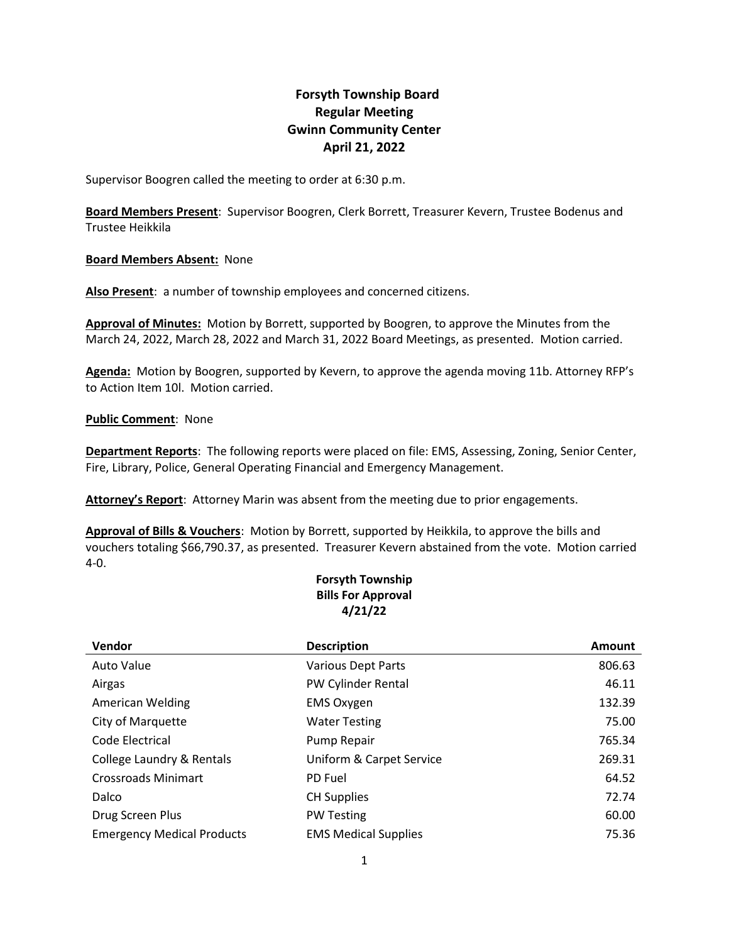# **Forsyth Township Board Regular Meeting Gwinn Community Center April 21, 2022**

Supervisor Boogren called the meeting to order at 6:30 p.m.

**Board Members Present**: Supervisor Boogren, Clerk Borrett, Treasurer Kevern, Trustee Bodenus and Trustee Heikkila

# **Board Members Absent:** None

**Also Present**: a number of township employees and concerned citizens.

**Approval of Minutes:** Motion by Borrett, supported by Boogren, to approve the Minutes from the March 24, 2022, March 28, 2022 and March 31, 2022 Board Meetings, as presented. Motion carried.

**Agenda:** Motion by Boogren, supported by Kevern, to approve the agenda moving 11b. Attorney RFP's to Action Item 10l. Motion carried.

# **Public Comment**: None

**Department Reports**: The following reports were placed on file: EMS, Assessing, Zoning, Senior Center, Fire, Library, Police, General Operating Financial and Emergency Management.

**Attorney's Report**: Attorney Marin was absent from the meeting due to prior engagements.

**Approval of Bills & Vouchers**: Motion by Borrett, supported by Heikkila, to approve the bills and vouchers totaling \$66,790.37, as presented. Treasurer Kevern abstained from the vote. Motion carried 4-0.

# **Forsyth Township Bills For Approval 4/21/22**

| Vendor                            | <b>Description</b>          | Amount |
|-----------------------------------|-----------------------------|--------|
| <b>Auto Value</b>                 | <b>Various Dept Parts</b>   | 806.63 |
| Airgas                            | PW Cylinder Rental          | 46.11  |
| <b>American Welding</b>           | <b>EMS Oxygen</b>           | 132.39 |
| City of Marquette                 | <b>Water Testing</b>        | 75.00  |
| Code Electrical                   | Pump Repair                 | 765.34 |
| College Laundry & Rentals         | Uniform & Carpet Service    | 269.31 |
| <b>Crossroads Minimart</b>        | PD Fuel                     | 64.52  |
| Dalco                             | <b>CH Supplies</b>          | 72.74  |
| Drug Screen Plus                  | <b>PW Testing</b>           | 60.00  |
| <b>Emergency Medical Products</b> | <b>EMS Medical Supplies</b> | 75.36  |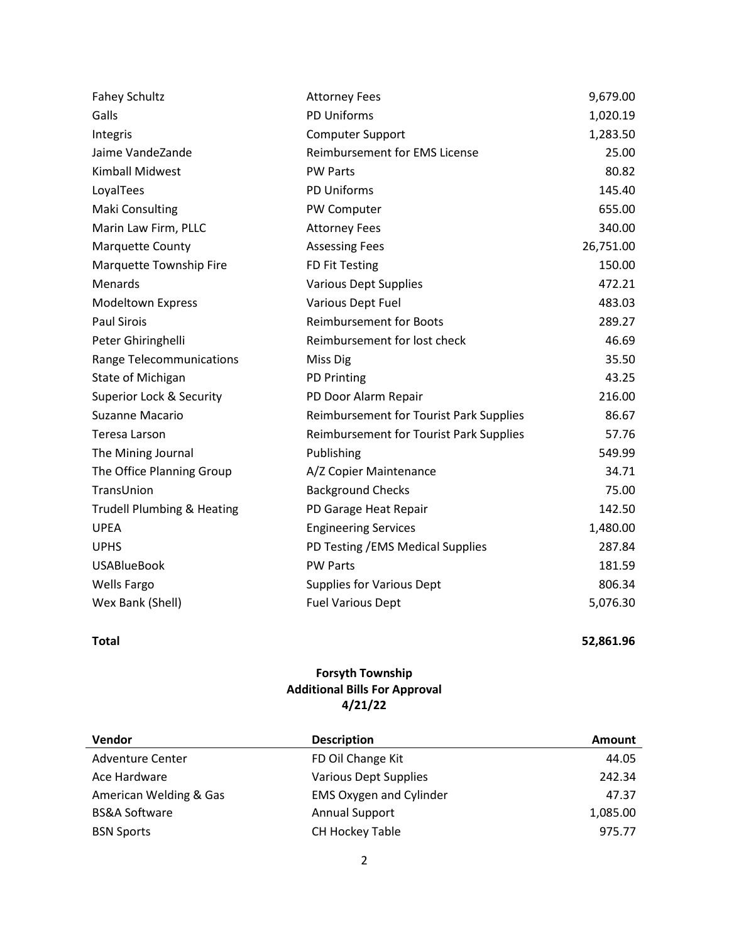| <b>Fahey Schultz</b>                  | <b>Attorney Fees</b>                           | 9,679.00  |
|---------------------------------------|------------------------------------------------|-----------|
| Galls                                 | PD Uniforms                                    | 1,020.19  |
| Integris                              | <b>Computer Support</b>                        | 1,283.50  |
| Jaime VandeZande                      | <b>Reimbursement for EMS License</b>           | 25.00     |
| <b>Kimball Midwest</b>                | <b>PW Parts</b>                                | 80.82     |
| LoyalTees                             | PD Uniforms                                    | 145.40    |
| <b>Maki Consulting</b>                | PW Computer                                    | 655.00    |
| Marin Law Firm, PLLC                  | <b>Attorney Fees</b>                           | 340.00    |
| Marquette County                      | <b>Assessing Fees</b>                          | 26,751.00 |
| Marquette Township Fire               | FD Fit Testing                                 | 150.00    |
| Menards                               | <b>Various Dept Supplies</b>                   | 472.21    |
| <b>Modeltown Express</b>              | Various Dept Fuel                              | 483.03    |
| <b>Paul Sirois</b>                    | <b>Reimbursement for Boots</b>                 | 289.27    |
| Peter Ghiringhelli                    | Reimbursement for lost check                   | 46.69     |
| <b>Range Telecommunications</b>       | Miss Dig                                       | 35.50     |
| State of Michigan                     | <b>PD Printing</b>                             | 43.25     |
| Superior Lock & Security              | PD Door Alarm Repair                           | 216.00    |
| Suzanne Macario                       | <b>Reimbursement for Tourist Park Supplies</b> | 86.67     |
| Teresa Larson                         | Reimbursement for Tourist Park Supplies        | 57.76     |
| The Mining Journal                    | Publishing                                     | 549.99    |
| The Office Planning Group             | A/Z Copier Maintenance                         | 34.71     |
| TransUnion                            | <b>Background Checks</b>                       | 75.00     |
| <b>Trudell Plumbing &amp; Heating</b> | PD Garage Heat Repair                          | 142.50    |
| <b>UPEA</b>                           | <b>Engineering Services</b>                    | 1,480.00  |
| <b>UPHS</b>                           | PD Testing / EMS Medical Supplies              | 287.84    |
| <b>USABlueBook</b>                    | <b>PW Parts</b>                                | 181.59    |
| <b>Wells Fargo</b>                    | <b>Supplies for Various Dept</b>               | 806.34    |
| Wex Bank (Shell)                      | <b>Fuel Various Dept</b>                       | 5,076.30  |

**Total 52,861.96** 

# **Forsyth Township Additional Bills For Approval 4/21/22**

| Vendor                   | <b>Description</b>             | <b>Amount</b> |
|--------------------------|--------------------------------|---------------|
| <b>Adventure Center</b>  | FD Oil Change Kit              | 44.05         |
| Ace Hardware             | <b>Various Dept Supplies</b>   | 242.34        |
| American Welding & Gas   | <b>EMS Oxygen and Cylinder</b> | 47.37         |
| <b>BS&amp;A Software</b> | <b>Annual Support</b>          | 1,085.00      |
| <b>BSN Sports</b>        | CH Hockey Table                | 975.77        |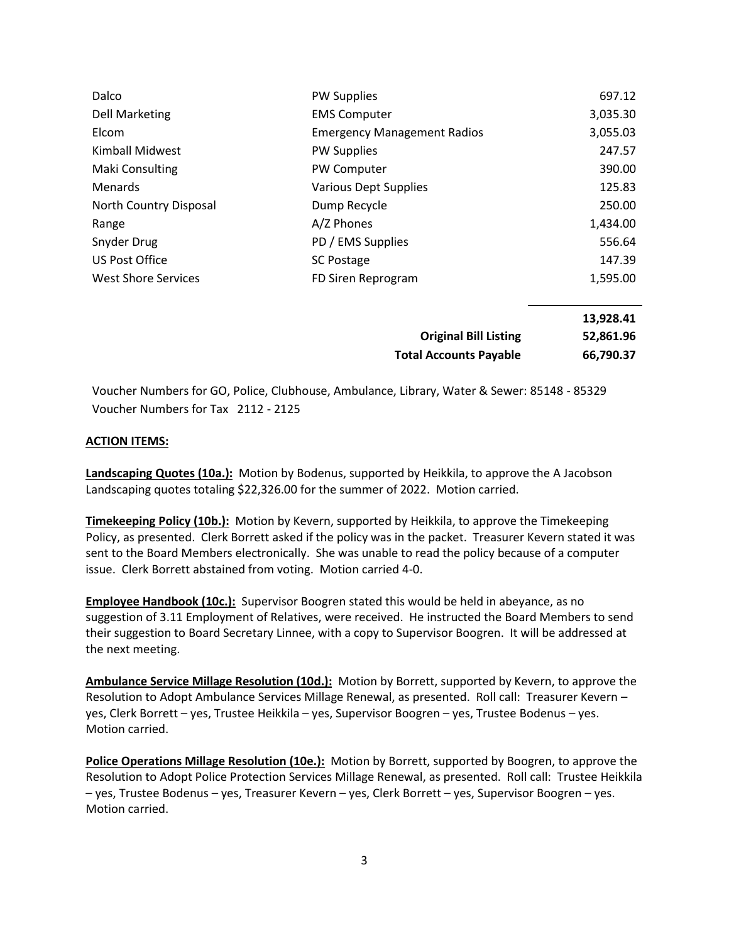| Dalco                      | <b>PW Supplies</b>                 | 697.12   |
|----------------------------|------------------------------------|----------|
| <b>Dell Marketing</b>      | <b>EMS Computer</b>                | 3,035.30 |
| Elcom                      | <b>Emergency Management Radios</b> | 3,055.03 |
| Kimball Midwest            | <b>PW Supplies</b>                 | 247.57   |
| Maki Consulting            | PW Computer                        | 390.00   |
| <b>Menards</b>             | <b>Various Dept Supplies</b>       | 125.83   |
| North Country Disposal     | Dump Recycle                       | 250.00   |
| Range                      | A/Z Phones                         | 1,434.00 |
| Snyder Drug                | PD / EMS Supplies                  | 556.64   |
| US Post Office             | <b>SC Postage</b>                  | 147.39   |
| <b>West Shore Services</b> | FD Siren Reprogram                 | 1,595.00 |

|                               | 13,928.41 |
|-------------------------------|-----------|
| <b>Original Bill Listing</b>  | 52,861.96 |
| <b>Total Accounts Payable</b> | 66,790.37 |

Voucher Numbers for GO, Police, Clubhouse, Ambulance, Library, Water & Sewer: 85148 - 85329 Voucher Numbers for Tax 2112 - 2125

#### **ACTION ITEMS:**

**Landscaping Quotes (10a.):** Motion by Bodenus, supported by Heikkila, to approve the A Jacobson Landscaping quotes totaling \$22,326.00 for the summer of 2022. Motion carried.

**Timekeeping Policy (10b.):** Motion by Kevern, supported by Heikkila, to approve the Timekeeping Policy, as presented. Clerk Borrett asked if the policy was in the packet. Treasurer Kevern stated it was sent to the Board Members electronically. She was unable to read the policy because of a computer issue. Clerk Borrett abstained from voting. Motion carried 4-0.

**Employee Handbook (10c.):** Supervisor Boogren stated this would be held in abeyance, as no suggestion of 3.11 Employment of Relatives, were received. He instructed the Board Members to send their suggestion to Board Secretary Linnee, with a copy to Supervisor Boogren. It will be addressed at the next meeting.

**Ambulance Service Millage Resolution (10d.):** Motion by Borrett, supported by Kevern, to approve the Resolution to Adopt Ambulance Services Millage Renewal, as presented. Roll call: Treasurer Kevern – yes, Clerk Borrett – yes, Trustee Heikkila – yes, Supervisor Boogren – yes, Trustee Bodenus – yes. Motion carried.

**Police Operations Millage Resolution (10e.):** Motion by Borrett, supported by Boogren, to approve the Resolution to Adopt Police Protection Services Millage Renewal, as presented. Roll call: Trustee Heikkila – yes, Trustee Bodenus – yes, Treasurer Kevern – yes, Clerk Borrett – yes, Supervisor Boogren – yes. Motion carried.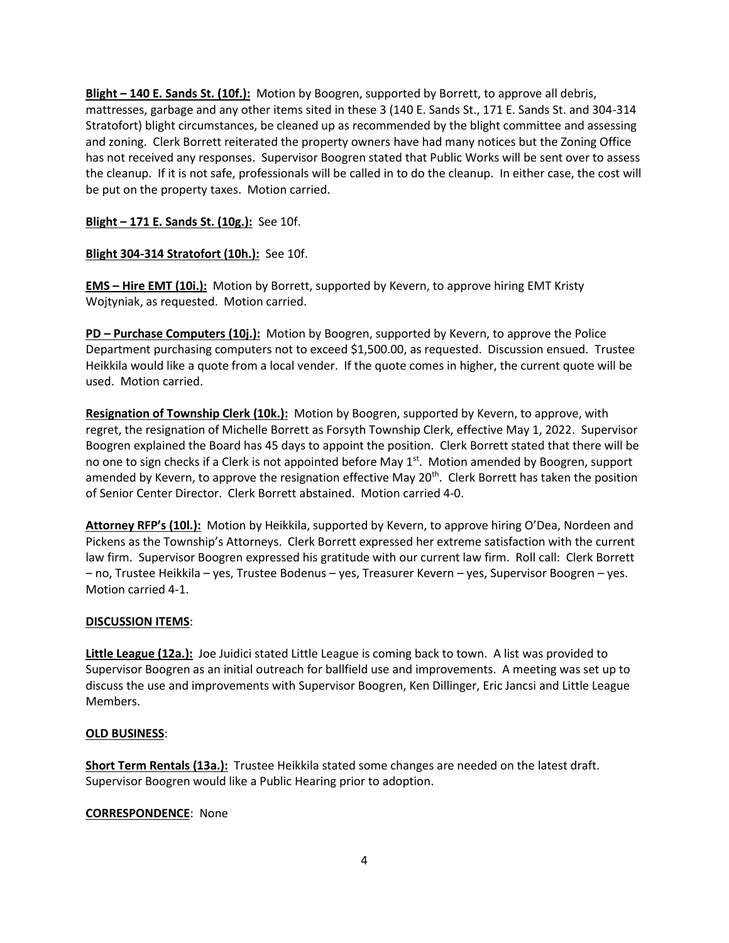**Blight – 140 E. Sands St. (10f.):** Motion by Boogren, supported by Borrett, to approve all debris, mattresses, garbage and any other items sited in these 3 (140 E. Sands St., 171 E. Sands St. and 304-314 Stratofort) blight circumstances, be cleaned up as recommended by the blight committee and assessing and zoning. Clerk Borrett reiterated the property owners have had many notices but the Zoning Office has not received any responses. Supervisor Boogren stated that Public Works will be sent over to assess the cleanup. If it is not safe, professionals will be called in to do the cleanup. In either case, the cost will be put on the property taxes. Motion carried.

# **Blight – 171 E. Sands St. (10g.):** See 10f.

# **Blight 304-314 Stratofort (10h.):** See 10f.

**EMS – Hire EMT (10i.):** Motion by Borrett, supported by Kevern, to approve hiring EMT Kristy Wojtyniak, as requested. Motion carried.

**PD – Purchase Computers (10j.):** Motion by Boogren, supported by Kevern, to approve the Police Department purchasing computers not to exceed \$1,500.00, as requested. Discussion ensued. Trustee Heikkila would like a quote from a local vender. If the quote comes in higher, the current quote will be used. Motion carried.

**Resignation of Township Clerk (10k.):** Motion by Boogren, supported by Kevern, to approve, with regret, the resignation of Michelle Borrett as Forsyth Township Clerk, effective May 1, 2022. Supervisor Boogren explained the Board has 45 days to appoint the position. Clerk Borrett stated that there will be no one to sign checks if a Clerk is not appointed before May 1<sup>st</sup>. Motion amended by Boogren, support amended by Kevern, to approve the resignation effective May 20<sup>th</sup>. Clerk Borrett has taken the position of Senior Center Director. Clerk Borrett abstained. Motion carried 4-0.

**Attorney RFP's (10l.):** Motion by Heikkila, supported by Kevern, to approve hiring O'Dea, Nordeen and Pickens as the Township's Attorneys. Clerk Borrett expressed her extreme satisfaction with the current law firm. Supervisor Boogren expressed his gratitude with our current law firm. Roll call: Clerk Borrett – no, Trustee Heikkila – yes, Trustee Bodenus – yes, Treasurer Kevern – yes, Supervisor Boogren – yes. Motion carried 4-1.

## **DISCUSSION ITEMS**:

**Little League (12a.):** Joe Juidici stated Little League is coming back to town. A list was provided to Supervisor Boogren as an initial outreach for ballfield use and improvements. A meeting was set up to discuss the use and improvements with Supervisor Boogren, Ken Dillinger, Eric Jancsi and Little League Members.

## **OLD BUSINESS**:

**Short Term Rentals (13a.):** Trustee Heikkila stated some changes are needed on the latest draft. Supervisor Boogren would like a Public Hearing prior to adoption.

## **CORRESPONDENCE**: None